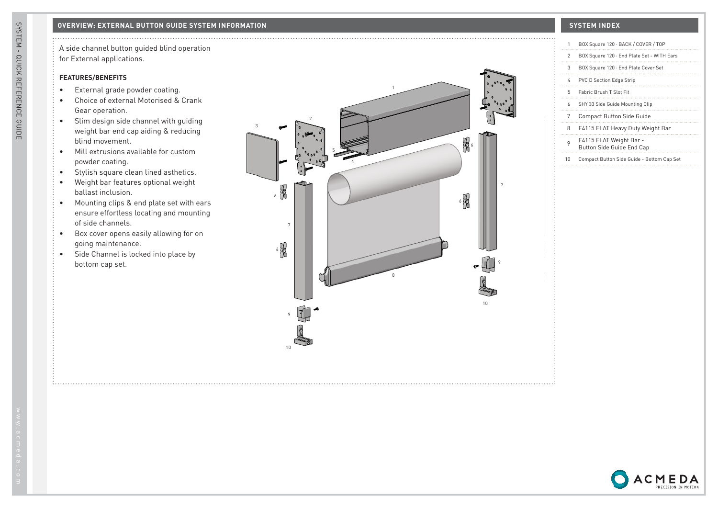A side channel button guided blind operation for External applications.

## **FEATURES/BENEFITS**

- External grade powder coating.
- Choice of external Motorised & Crank Gear operation.
- Slim design side channel with guiding weight bar end cap aiding & reducing blind movement.
- Mill extrusions available for custom powder coating.
- Stylish square clean lined asthetics.
- Weight bar features optional weight ballast inclusion.
- Mounting clips & end plate set with ears ensure effortless locating and mounting of side channels.
- Box cover opens easily allowing for on going maintenance.
- Side Channel is locked into place by bottom cap set.